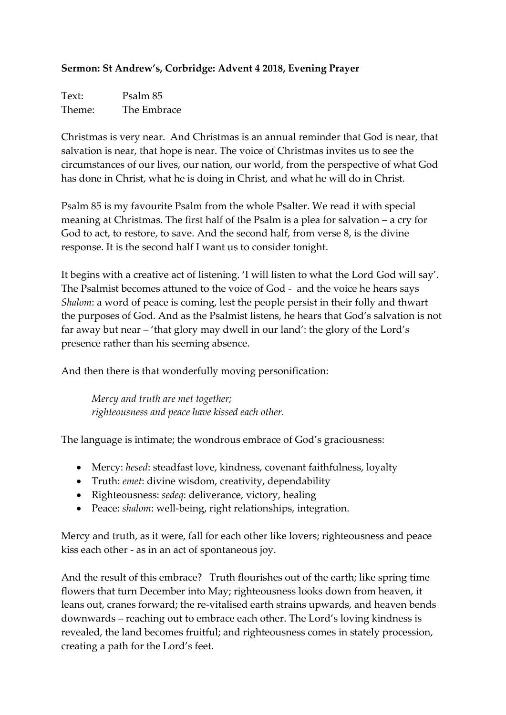## **Sermon: St Andrew's, Corbridge: Advent 4 2018, Evening Prayer**

Text: Psalm 85 Theme: The Embrace

Christmas is very near. And Christmas is an annual reminder that God is near, that salvation is near, that hope is near. The voice of Christmas invites us to see the circumstances of our lives, our nation, our world, from the perspective of what God has done in Christ, what he is doing in Christ, and what he will do in Christ.

Psalm 85 is my favourite Psalm from the whole Psalter. We read it with special meaning at Christmas. The first half of the Psalm is a plea for salvation – a cry for God to act, to restore, to save. And the second half, from verse 8, is the divine response. It is the second half I want us to consider tonight.

It begins with a creative act of listening. 'I will listen to what the Lord God will say'. The Psalmist becomes attuned to the voice of God - and the voice he hears says *Shalom*: a word of peace is coming, lest the people persist in their folly and thwart the purposes of God. And as the Psalmist listens, he hears that God's salvation is not far away but near – 'that glory may dwell in our land': the glory of the Lord's presence rather than his seeming absence.

And then there is that wonderfully moving personification:

*Mercy and truth are met together; righteousness and peace have kissed each other.*

The language is intimate; the wondrous embrace of God's graciousness:

- Mercy: *hesed*: steadfast love, kindness, covenant faithfulness, loyalty
- Truth: *emet*: divine wisdom, creativity, dependability
- Righteousness: *sedeq*: deliverance, victory, healing
- Peace: *shalom*: well-being, right relationships, integration.

Mercy and truth, as it were, fall for each other like lovers; righteousness and peace kiss each other - as in an act of spontaneous joy.

And the result of this embrace? Truth flourishes out of the earth; like spring time flowers that turn December into May; righteousness looks down from heaven, it leans out, cranes forward; the re-vitalised earth strains upwards, and heaven bends downwards – reaching out to embrace each other. The Lord's loving kindness is revealed, the land becomes fruitful; and righteousness comes in stately procession, creating a path for the Lord's feet.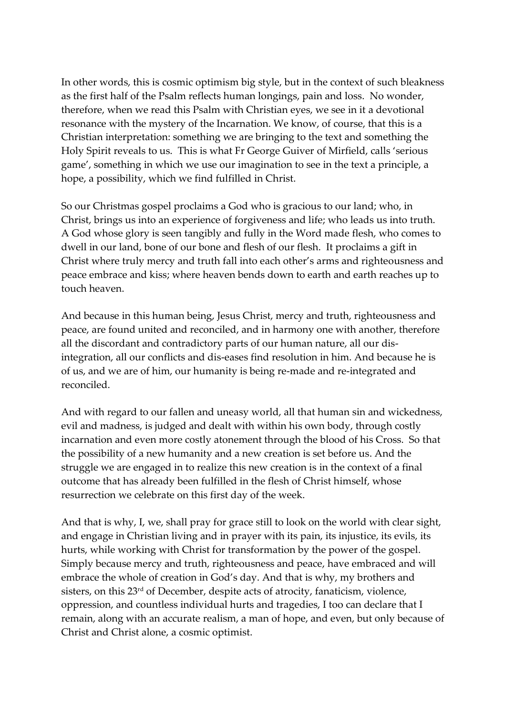In other words, this is cosmic optimism big style, but in the context of such bleakness as the first half of the Psalm reflects human longings, pain and loss. No wonder, therefore, when we read this Psalm with Christian eyes, we see in it a devotional resonance with the mystery of the Incarnation. We know, of course, that this is a Christian interpretation: something we are bringing to the text and something the Holy Spirit reveals to us. This is what Fr George Guiver of Mirfield, calls 'serious game', something in which we use our imagination to see in the text a principle, a hope, a possibility, which we find fulfilled in Christ.

So our Christmas gospel proclaims a God who is gracious to our land; who, in Christ, brings us into an experience of forgiveness and life; who leads us into truth. A God whose glory is seen tangibly and fully in the Word made flesh, who comes to dwell in our land, bone of our bone and flesh of our flesh. It proclaims a gift in Christ where truly mercy and truth fall into each other's arms and righteousness and peace embrace and kiss; where heaven bends down to earth and earth reaches up to touch heaven.

And because in this human being, Jesus Christ, mercy and truth, righteousness and peace, are found united and reconciled, and in harmony one with another, therefore all the discordant and contradictory parts of our human nature, all our disintegration, all our conflicts and dis-eases find resolution in him. And because he is of us, and we are of him, our humanity is being re-made and re-integrated and reconciled.

And with regard to our fallen and uneasy world, all that human sin and wickedness, evil and madness, is judged and dealt with within his own body, through costly incarnation and even more costly atonement through the blood of his Cross. So that the possibility of a new humanity and a new creation is set before us. And the struggle we are engaged in to realize this new creation is in the context of a final outcome that has already been fulfilled in the flesh of Christ himself, whose resurrection we celebrate on this first day of the week.

And that is why, I, we, shall pray for grace still to look on the world with clear sight, and engage in Christian living and in prayer with its pain, its injustice, its evils, its hurts, while working with Christ for transformation by the power of the gospel. Simply because mercy and truth, righteousness and peace, have embraced and will embrace the whole of creation in God's day. And that is why, my brothers and sisters, on this 23<sup>rd</sup> of December, despite acts of atrocity, fanaticism, violence, oppression, and countless individual hurts and tragedies, I too can declare that I remain, along with an accurate realism, a man of hope, and even, but only because of Christ and Christ alone, a cosmic optimist.